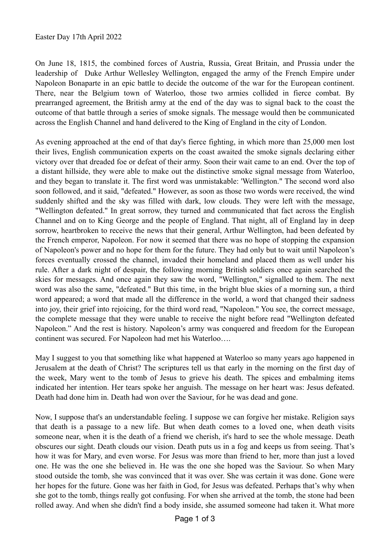On June 18, 1815, the combined forces of Austria, Russia, Great Britain, and Prussia under the leadership of Duke Arthur Wellesley Wellington, engaged the army of the French Empire under Napoleon Bonaparte in an epic battle to decide the outcome of the war for the European continent. There, near the Belgium town of Waterloo, those two armies collided in fierce combat. By prearranged agreement, the British army at the end of the day was to signal back to the coast the outcome of that battle through a series of smoke signals. The message would then be communicated across the English Channel and hand delivered to the King of England in the city of London.

As evening approached at the end of that day's fierce fighting, in which more than 25,000 men lost their lives, English communication experts on the coast awaited the smoke signals declaring either victory over that dreaded foe or defeat of their army. Soon their wait came to an end. Over the top of a distant hillside, they were able to make out the distinctive smoke signal message from Waterloo, and they began to translate it. The first word was unmistakable: 'Wellington." The second word also soon followed, and it said, "defeated." However, as soon as those two words were received, the wind suddenly shifted and the sky was filled with dark, low clouds. They were left with the message, "Wellington defeated." In great sorrow, they turned and communicated that fact across the English Channel and on to King George and the people of England. That night, all of England lay in deep sorrow, heartbroken to receive the news that their general, Arthur Wellington, had been defeated by the French emperor, Napoleon. For now it seemed that there was no hope of stopping the expansion of Napoleon's power and no hope for them for the future. They had only but to wait until Napoleon's forces eventually crossed the channel, invaded their homeland and placed them as well under his rule. After a dark night of despair, the following morning British soldiers once again searched the skies for messages. And once again they saw the word, "Wellington," signalled to them. The next word was also the same, "defeated." But this time, in the bright blue skies of a morning sun, a third word appeared; a word that made all the difference in the world, a word that changed their sadness into joy, their grief into rejoicing, for the third word read, "Napoleon." You see, the correct message, the complete message that they were unable to receive the night before read "Wellington defeated Napoleon." And the rest is history. Napoleon's army was conquered and freedom for the European continent was secured. For Napoleon had met his Waterloo….

May I suggest to you that something like what happened at Waterloo so many years ago happened in Jerusalem at the death of Christ? The scriptures tell us that early in the morning on the first day of the week, Mary went to the tomb of Jesus to grieve his death. The spices and embalming items indicated her intention. Her tears spoke her anguish. The message on her heart was: Jesus defeated. Death had done him in. Death had won over the Saviour, for he was dead and gone.

Now, I suppose that's an understandable feeling. I suppose we can forgive her mistake. Religion says that death is a passage to a new life. But when death comes to a loved one, when death visits someone near, when it is the death of a friend we cherish, it's hard to see the whole message. Death obscures our sight. Death clouds our vision. Death puts us in a fog and keeps us from seeing. That's how it was for Mary, and even worse. For Jesus was more than friend to her, more than just a loved one. He was the one she believed in. He was the one she hoped was the Saviour. So when Mary stood outside the tomb, she was convinced that it was over. She was certain it was done. Gone were her hopes for the future. Gone was her faith in God, for Jesus was defeated. Perhaps that's why when she got to the tomb, things really got confusing. For when she arrived at the tomb, the stone had been rolled away. And when she didn't find a body inside, she assumed someone had taken it. What more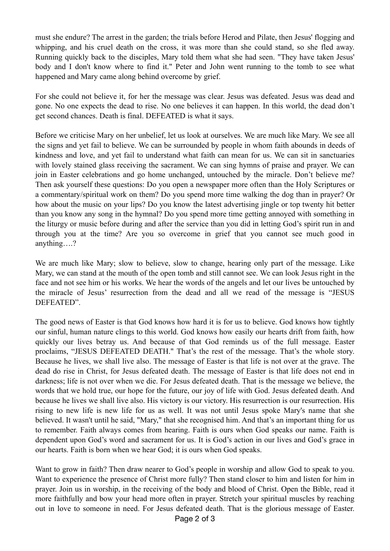must she endure? The arrest in the garden; the trials before Herod and Pilate, then Jesus' flogging and whipping, and his cruel death on the cross, it was more than she could stand, so she fled away. Running quickly back to the disciples, Mary told them what she had seen. "They have taken Jesus' body and I don't know where to find it." Peter and John went running to the tomb to see what happened and Mary came along behind overcome by grief.

For she could not believe it, for her the message was clear. Jesus was defeated. Jesus was dead and gone. No one expects the dead to rise. No one believes it can happen. In this world, the dead don't get second chances. Death is final. DEFEATED is what it says.

Before we criticise Mary on her unbelief, let us look at ourselves. We are much like Mary. We see all the signs and yet fail to believe. We can be surrounded by people in whom faith abounds in deeds of kindness and love, and yet fail to understand what faith can mean for us. We can sit in sanctuaries with lovely stained glass receiving the sacrament. We can sing hymns of praise and prayer. We can join in Easter celebrations and go home unchanged, untouched by the miracle. Don't believe me? Then ask yourself these questions: Do you open a newspaper more often than the Holy Scriptures or a commentary/spiritual work on them? Do you spend more time walking the dog than in prayer? Or how about the music on your lips? Do you know the latest advertising jingle or top twenty hit better than you know any song in the hymnal? Do you spend more time getting annoyed with something in the liturgy or music before during and after the service than you did in letting God's spirit run in and through you at the time? Are you so overcome in grief that you cannot see much good in anything….?

We are much like Mary; slow to believe, slow to change, hearing only part of the message. Like Mary, we can stand at the mouth of the open tomb and still cannot see. We can look Jesus right in the face and not see him or his works. We hear the words of the angels and let our lives be untouched by the miracle of Jesus' resurrection from the dead and all we read of the message is "JESUS DEFEATED".

The good news of Easter is that God knows how hard it is for us to believe. God knows how tightly our sinful, human nature clings to this world. God knows how easily our hearts drift from faith, how quickly our lives betray us. And because of that God reminds us of the full message. Easter proclaims, "JESUS DEFEATED DEATH." That's the rest of the message. That's the whole story. Because he lives, we shall live also. The message of Easter is that life is not over at the grave. The dead do rise in Christ, for Jesus defeated death. The message of Easter is that life does not end in darkness; life is not over when we die. For Jesus defeated death. That is the message we believe, the words that we hold true, our hope for the future, our joy of life with God. Jesus defeated death. And because he lives we shall live also. His victory is our victory. His resurrection is our resurrection. His rising to new life is new life for us as well. It was not until Jesus spoke Mary's name that she believed. It wasn't until he said, "Mary," that she recognised him. And that's an important thing for us to remember. Faith always comes from hearing. Faith is ours when God speaks our name. Faith is dependent upon God's word and sacrament for us. It is God's action in our lives and God's grace in our hearts. Faith is born when we hear God; it is ours when God speaks.

Want to grow in faith? Then draw nearer to God's people in worship and allow God to speak to you. Want to experience the presence of Christ more fully? Then stand closer to him and listen for him in prayer. Join us in worship, in the receiving of the body and blood of Christ. Open the Bible, read it more faithfully and bow your head more often in prayer. Stretch your spiritual muscles by reaching out in love to someone in need. For Jesus defeated death. That is the glorious message of Easter.